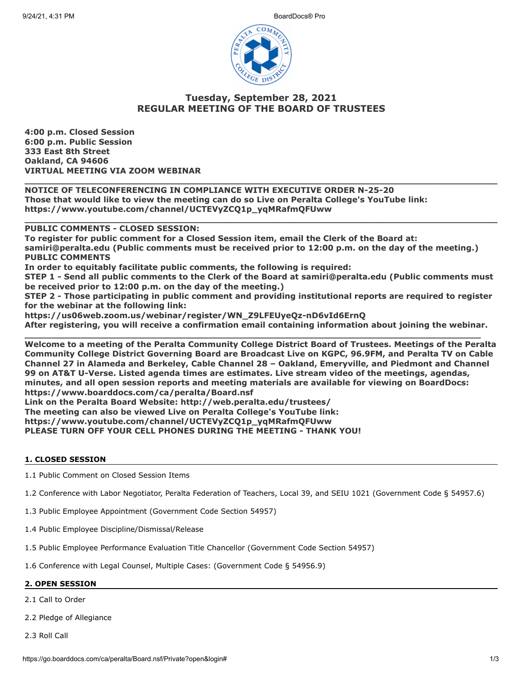

# **Tuesday, September 28, 2021 REGULAR MEETING OF THE BOARD OF TRUSTEES**

**4:00 p.m. Closed Session 6:00 p.m. Public Session 333 East 8th Street Oakland, CA 94606 VIRTUAL MEETING VIA ZOOM WEBINAR**

**\_\_\_\_\_\_\_\_\_\_\_\_\_\_\_\_\_\_\_\_\_\_\_\_\_\_\_\_\_\_\_\_\_\_\_\_\_\_\_\_\_\_\_\_\_\_\_\_\_\_\_\_\_\_\_\_\_\_\_\_\_\_\_\_\_\_\_\_\_\_\_\_\_\_\_\_\_\_\_\_\_\_\_\_\_ NOTICE OF TELECONFERENCING IN COMPLIANCE WITH EXECUTIVE ORDER N-25-20 Those that would like to view the meeting can do so Live on Peralta College's YouTube link: https://www.youtube.com/channel/UCTEVyZCQ1p\_yqMRafmQFUww**

**PUBLIC COMMENTS - CLOSED SESSION:** 

**To register for public comment for a Closed Session item, email the Clerk of the Board at: samiri@peralta.edu (Public comments must be received prior to 12:00 p.m. on the day of the meeting.) PUBLIC COMMENTS**

**In order to equitably facilitate public comments, the following is required:**

**STEP 1 - Send all public comments to the Clerk of the Board at samiri@peralta.edu (Public comments must be received prior to 12:00 p.m. on the day of the meeting.)**

**\_\_\_\_\_\_\_\_\_\_\_\_\_\_\_\_\_\_\_\_\_\_\_\_\_\_\_\_\_\_\_\_\_\_\_\_\_\_\_\_\_\_\_\_\_\_\_\_\_\_\_\_\_\_\_\_\_\_\_\_\_\_\_\_\_\_\_\_\_\_\_\_\_\_\_\_\_\_\_\_\_\_\_\_\_**

**STEP 2 - Those participating in public comment and providing institutional reports are required to register for the webinar at the following link:**

**https://us06web.zoom.us/webinar/register/WN\_Z9LFEUyeQz-nD6vId6ErnQ After registering, you will receive a confirmation email containing information about joining the webinar.**

**\_\_\_\_\_\_\_\_\_\_\_\_\_\_\_\_\_\_\_\_\_\_\_\_\_\_\_\_\_\_\_\_\_\_\_\_\_\_\_\_\_\_\_\_\_\_\_\_\_\_\_\_\_\_\_\_\_\_\_\_\_\_\_\_\_\_\_\_\_\_\_\_\_\_\_\_\_\_\_\_\_\_ Welcome to a meeting of the Peralta Community College District Board of Trustees. Meetings of the Peralta Community College District Governing Board are Broadcast Live on KGPC, 96.9FM, and Peralta TV on Cable Channel 27 in Alameda and Berkeley, Cable Channel 28 – Oakland, Emeryville, and Piedmont and Channel 99 on AT&T U-Verse. Listed agenda times are estimates. Live stream video of the meetings, agendas, minutes, and all open session reports and meeting materials are available for viewing on BoardDocs: https://www.boarddocs.com/ca/peralta/Board.nsf** 

**Link on the Peralta Board Website: http://web.peralta.edu/trustees/ The meeting can also be viewed Live on Peralta College's YouTube link: https://www.youtube.com/channel/UCTEVyZCQ1p\_yqMRafmQFUww** 

**PLEASE TURN OFF YOUR CELL PHONES DURING THE MEETING - THANK YOU!**

# **1. CLOSED SESSION**

1.1 Public Comment on Closed Session Items

1.2 Conference with Labor Negotiator, Peralta Federation of Teachers, Local 39, and SEIU 1021 (Government Code § 54957.6)

1.3 Public Employee Appointment (Government Code Section 54957)

- 1.4 Public Employee Discipline/Dismissal/Release
- 1.5 Public Employee Performance Evaluation Title Chancellor (Government Code Section 54957)

1.6 Conference with Legal Counsel, Multiple Cases: (Government Code § 54956.9)

# **2. OPEN SESSION**

2.1 Call to Order

2.2 Pledge of Allegiance

2.3 Roll Call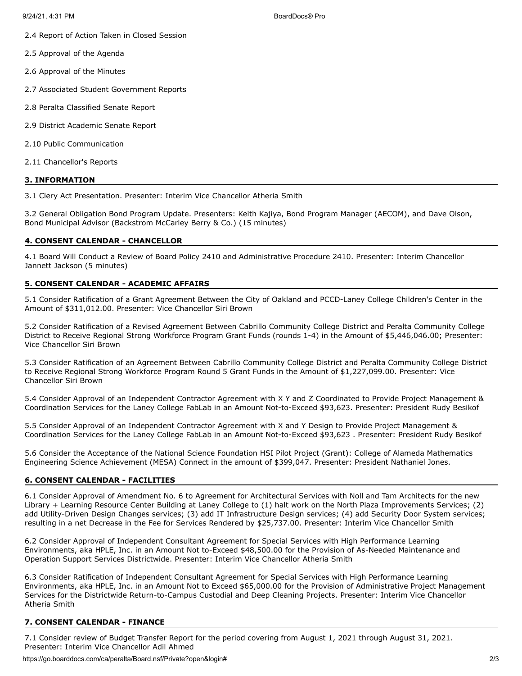- 2.4 Report of Action Taken in Closed Session
- 2.5 Approval of the Agenda
- 2.6 Approval of the Minutes
- 2.7 Associated Student Government Reports
- 2.8 Peralta Classified Senate Report
- 2.9 District Academic Senate Report
- 2.10 Public Communication
- 2.11 Chancellor's Reports

### **3. INFORMATION**

3.1 Clery Act Presentation. Presenter: Interim Vice Chancellor Atheria Smith

3.2 General Obligation Bond Program Update. Presenters: Keith Kajiya, Bond Program Manager (AECOM), and Dave Olson, Bond Municipal Advisor (Backstrom McCarley Berry & Co.) (15 minutes)

### **4. CONSENT CALENDAR - CHANCELLOR**

4.1 Board Will Conduct a Review of Board Policy 2410 and Administrative Procedure 2410. Presenter: Interim Chancellor Jannett Jackson (5 minutes)

### **5. CONSENT CALENDAR - ACADEMIC AFFAIRS**

5.1 Consider Ratification of a Grant Agreement Between the City of Oakland and PCCD-Laney College Children's Center in the Amount of \$311,012.00. Presenter: Vice Chancellor Siri Brown

5.2 Consider Ratification of a Revised Agreement Between Cabrillo Community College District and Peralta Community College District to Receive Regional Strong Workforce Program Grant Funds (rounds 1-4) in the Amount of \$5,446,046.00; Presenter: Vice Chancellor Siri Brown

5.3 Consider Ratification of an Agreement Between Cabrillo Community College District and Peralta Community College District to Receive Regional Strong Workforce Program Round 5 Grant Funds in the Amount of \$1,227,099.00. Presenter: Vice Chancellor Siri Brown

5.4 Consider Approval of an Independent Contractor Agreement with X Y and Z Coordinated to Provide Project Management & Coordination Services for the Laney College FabLab in an Amount Not-to-Exceed \$93,623. Presenter: President Rudy Besikof

5.5 Consider Approval of an Independent Contractor Agreement with X and Y Design to Provide Project Management & Coordination Services for the Laney College FabLab in an Amount Not-to-Exceed \$93,623 . Presenter: President Rudy Besikof

5.6 Consider the Acceptance of the National Science Foundation HSI Pilot Project (Grant): College of Alameda Mathematics Engineering Science Achievement (MESA) Connect in the amount of \$399,047. Presenter: President Nathaniel Jones.

# **6. CONSENT CALENDAR - FACILITIES**

6.1 Consider Approval of Amendment No. 6 to Agreement for Architectural Services with Noll and Tam Architects for the new Library + Learning Resource Center Building at Laney College to (1) halt work on the North Plaza Improvements Services; (2) add Utility-Driven Design Changes services; (3) add IT Infrastructure Design services; (4) add Security Door System services; resulting in a net Decrease in the Fee for Services Rendered by \$25,737.00. Presenter: Interim Vice Chancellor Smith

6.2 Consider Approval of Independent Consultant Agreement for Special Services with High Performance Learning Environments, aka HPLE, Inc. in an Amount Not to-Exceed \$48,500.00 for the Provision of As-Needed Maintenance and Operation Support Services Districtwide. Presenter: Interim Vice Chancellor Atheria Smith

6.3 Consider Ratification of Independent Consultant Agreement for Special Services with High Performance Learning Environments, aka HPLE, Inc. in an Amount Not to Exceed \$65,000.00 for the Provision of Administrative Project Management Services for the Districtwide Return-to-Campus Custodial and Deep Cleaning Projects. Presenter: Interim Vice Chancellor Atheria Smith

# **7. CONSENT CALENDAR - FINANCE**

7.1 Consider review of Budget Transfer Report for the period covering from August 1, 2021 through August 31, 2021. Presenter: Interim Vice Chancellor Adil Ahmed

https://go.boarddocs.com/ca/peralta/Board.nsf/Private?open&login# 2/3